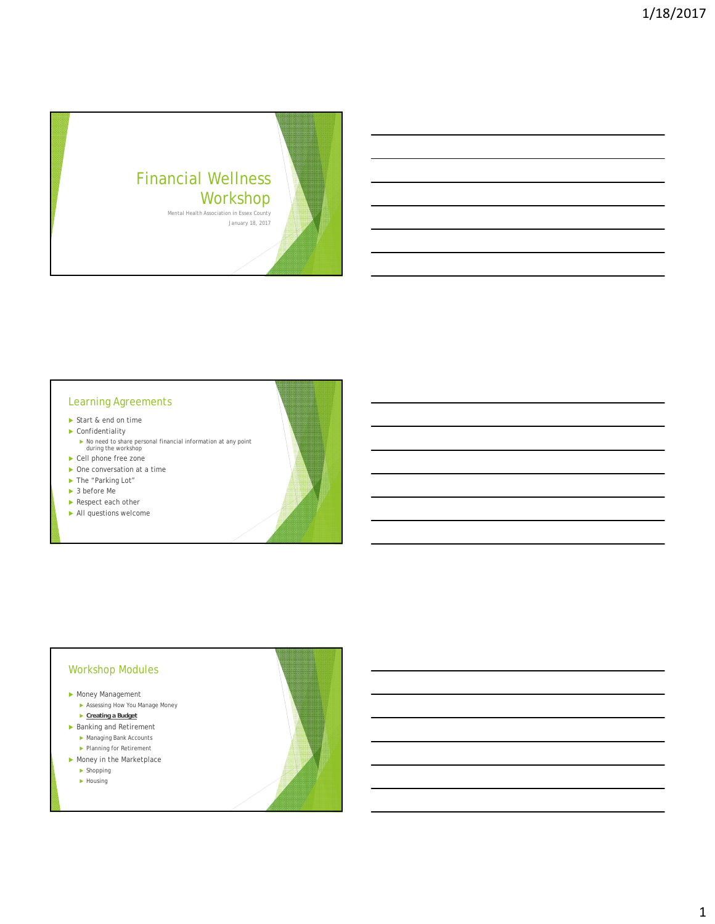

#### Learning Agreements

- Start & end on time
- ▶ Confidentiality
	- No need to share personal financial information at any point during the workshop
- ▶ Cell phone free zone ▶ One conversation at a time
- ▶ The "Parking Lot"
- 
- ▶ 3 before Me
- Respect each other
- All questions welcome

#### Workshop Modules

- Money Management
	- Assessing How You Manage Money **Creating a Budget**
- ▶ Banking and Retirement
	- Managing Bank Accounts ▶ Planning for Retirement
- Money in the Marketplace
	- **Shopping**
	- $\blacktriangleright$  Housing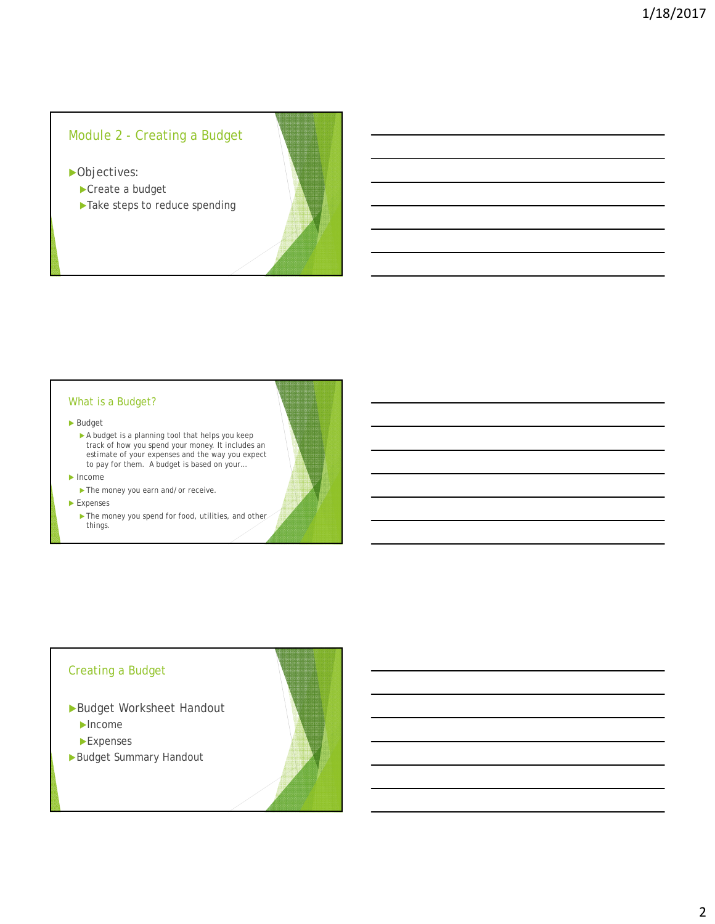# Module 2 - Creating a Budget

▶ Objectives:

- Create a budget
- ▶ Take steps to reduce spending

#### What is a Budget?

#### Budget

A budget is a planning tool that helps you keep track of how you spend your money. It includes an estimate of your expenses and the way you expect to pay for them. A budget is based on your…

#### $\blacktriangleright$  Income

▶ The money you earn and/or receive.

Expenses

The money you spend for food, utilities, and other things.

### Creating a Budget

Budget Worksheet Handout

Income

- Expenses
- Budget Summary Handout

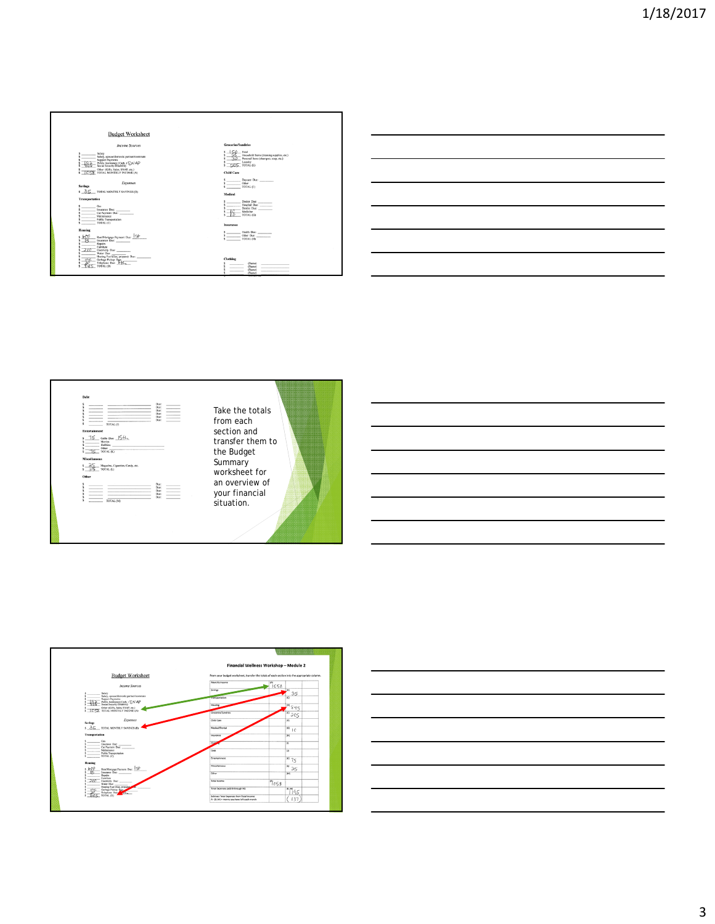







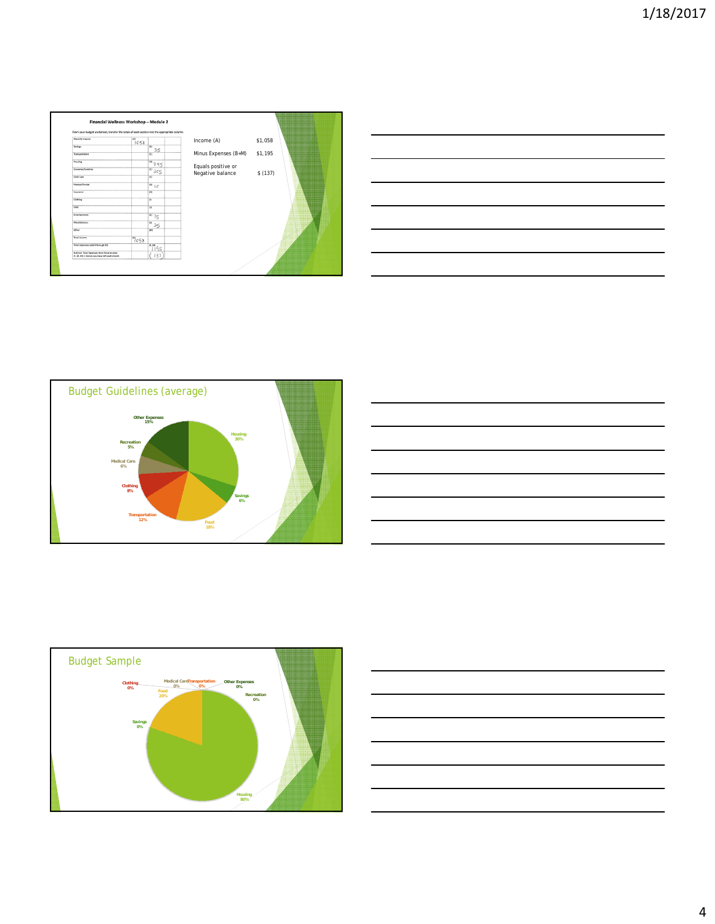| From your budget worksheet, transfer the totals of each section into the appropriate column. |           |                             |                      |         |
|----------------------------------------------------------------------------------------------|-----------|-----------------------------|----------------------|---------|
| Monthly income                                                                               | $n_{CS8}$ |                             | Income (A)           | \$1,058 |
| Savings                                                                                      |           | (0)<br>35                   |                      |         |
| Transportation                                                                               |           | $\overline{65}$             | Minus Expenses (B+M) | \$1,195 |
| Housing                                                                                      |           | 100845                      | Equals positive or   |         |
| Grocenies/Sundries                                                                           |           | 0.3c5                       | Negative balance     | \$(137) |
| Child Care                                                                                   |           | $\overline{on}$             |                      |         |
| Medical/Dental                                                                               |           | $\frac{1}{(c)}$ 1 C         |                      |         |
| Insurance                                                                                    |           | 09                          |                      |         |
| Clothing                                                                                     |           | $\overline{0}$              |                      |         |
| Debt                                                                                         |           | 60                          |                      |         |
| Entertainment                                                                                |           | 0075                        |                      |         |
| Miscellaneous                                                                                |           | $\alpha$<br>25              |                      |         |
| Other                                                                                        |           | (M)                         |                      |         |
| <b>Total Income</b>                                                                          | 7058      |                             |                      |         |
| Total Expenses (add 8 through M)                                                             |           | $\frac{10 \text{ m}}{1195}$ |                      |         |
| Subtract Total Expenses from Total Income<br>A - (B.M) = money you have left each month      |           | 137                         |                      |         |

| <u> La Carlo de la Carlo de la Carlo de la Carlo de la Carlo de la Carlo de la Carlo de la Carlo de la Carlo de l</u> |  |                                     |
|-----------------------------------------------------------------------------------------------------------------------|--|-------------------------------------|
|                                                                                                                       |  |                                     |
|                                                                                                                       |  |                                     |
|                                                                                                                       |  |                                     |
|                                                                                                                       |  | and the contract of the contract of |
|                                                                                                                       |  |                                     |
|                                                                                                                       |  |                                     |
|                                                                                                                       |  |                                     |
| <u> 1989 - Johann John Stone, markin sanadi amerikan bahasa dalam pengaran bahasa dalam pengaran bahasa dalam pe</u>  |  | ______                              |
|                                                                                                                       |  |                                     |
| <u> 1989 - Johann Harry Harry Harry Harry Harry Harry Harry Harry Harry Harry Harry Harry Harry Harry Harry Harry</u> |  |                                     |
|                                                                                                                       |  |                                     |
|                                                                                                                       |  |                                     |
|                                                                                                                       |  |                                     |

![](_page_3_Figure_3.jpeg)

![](_page_3_Figure_4.jpeg)

![](_page_3_Figure_5.jpeg)

![](_page_3_Figure_6.jpeg)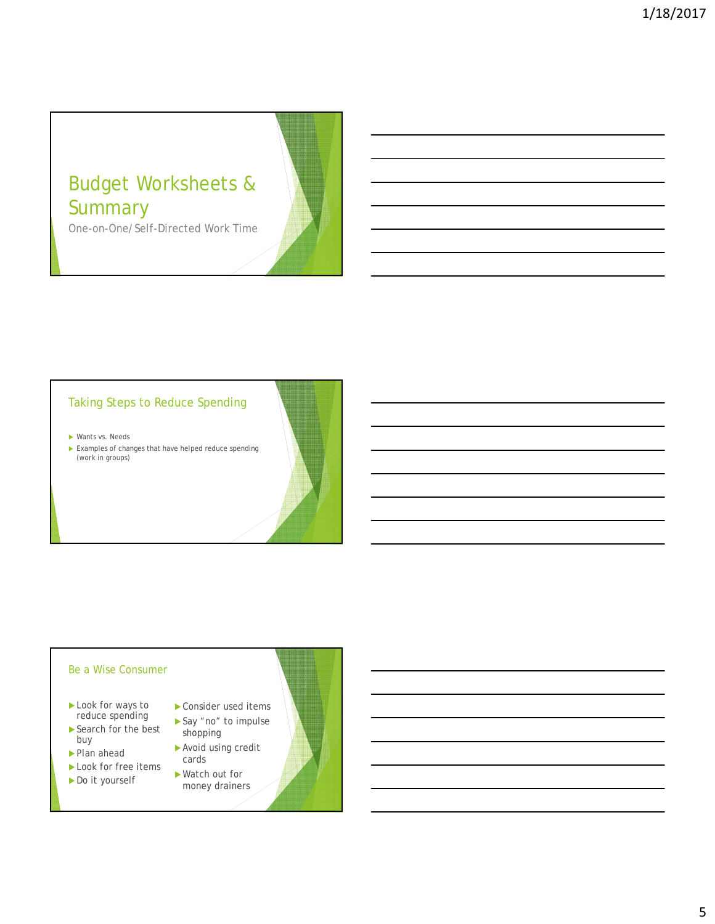# Budget Worksheets & **Summary**

One-on-One/Self-Directed Work Time

# Taking Steps to Reduce Spending

Wants vs. Needs

 Examples of changes that have helped reduce spending (work in groups)

### Be a Wise Consumer

- Look for ways to reduce spending
- ▶ Search for the best buy
- ▶ Plan ahead
- Look for free items Do it yourself
- ▶ Consider used items ▶ Say "no" to impulse
- shopping Avoid using credit cards
- Watch out for money drainers